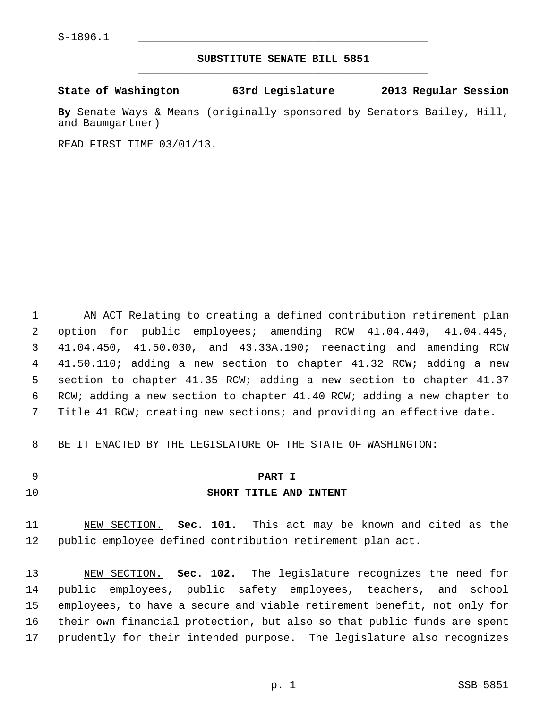## **SUBSTITUTE SENATE BILL 5851** \_\_\_\_\_\_\_\_\_\_\_\_\_\_\_\_\_\_\_\_\_\_\_\_\_\_\_\_\_\_\_\_\_\_\_\_\_\_\_\_\_\_\_\_\_

## **State of Washington 63rd Legislature 2013 Regular Session**

**By** Senate Ways & Means (originally sponsored by Senators Bailey, Hill, and Baumgartner)

READ FIRST TIME 03/01/13.

 1 AN ACT Relating to creating a defined contribution retirement plan 2 option for public employees; amending RCW 41.04.440, 41.04.445, 3 41.04.450, 41.50.030, and 43.33A.190; reenacting and amending RCW 4 41.50.110; adding a new section to chapter 41.32 RCW; adding a new 5 section to chapter 41.35 RCW; adding a new section to chapter 41.37 6 RCW; adding a new section to chapter 41.40 RCW; adding a new chapter to 7 Title 41 RCW; creating new sections; and providing an effective date.

8 BE IT ENACTED BY THE LEGISLATURE OF THE STATE OF WASHINGTON:

### 9 **PART I**

## 10 **SHORT TITLE AND INTENT**

11 NEW SECTION. **Sec. 101.** This act may be known and cited as the 12 public employee defined contribution retirement plan act.

13 NEW SECTION. **Sec. 102.** The legislature recognizes the need for 14 public employees, public safety employees, teachers, and school 15 employees, to have a secure and viable retirement benefit, not only for 16 their own financial protection, but also so that public funds are spent 17 prudently for their intended purpose. The legislature also recognizes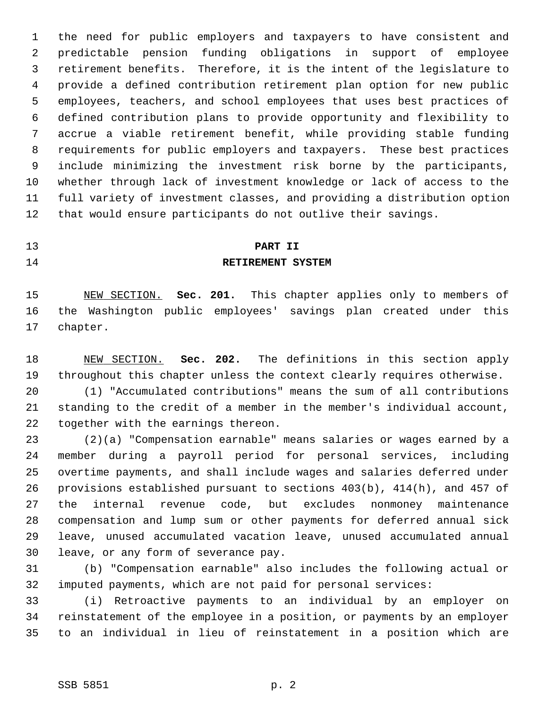1 the need for public employers and taxpayers to have consistent and 2 predictable pension funding obligations in support of employee 3 retirement benefits. Therefore, it is the intent of the legislature to 4 provide a defined contribution retirement plan option for new public 5 employees, teachers, and school employees that uses best practices of 6 defined contribution plans to provide opportunity and flexibility to 7 accrue a viable retirement benefit, while providing stable funding 8 requirements for public employers and taxpayers. These best practices 9 include minimizing the investment risk borne by the participants, 10 whether through lack of investment knowledge or lack of access to the 11 full variety of investment classes, and providing a distribution option 12 that would ensure participants do not outlive their savings.

# 13 **PART II**

### 14 **RETIREMENT SYSTEM**

15 NEW SECTION. **Sec. 201.** This chapter applies only to members of 16 the Washington public employees' savings plan created under this 17 chapter.

18 NEW SECTION. **Sec. 202.** The definitions in this section apply 19 throughout this chapter unless the context clearly requires otherwise.

20 (1) "Accumulated contributions" means the sum of all contributions 21 standing to the credit of a member in the member's individual account, 22 together with the earnings thereon.

23 (2)(a) "Compensation earnable" means salaries or wages earned by a 24 member during a payroll period for personal services, including 25 overtime payments, and shall include wages and salaries deferred under 26 provisions established pursuant to sections 403(b), 414(h), and 457 of 27 the internal revenue code, but excludes nonmoney maintenance 28 compensation and lump sum or other payments for deferred annual sick 29 leave, unused accumulated vacation leave, unused accumulated annual 30 leave, or any form of severance pay.

31 (b) "Compensation earnable" also includes the following actual or 32 imputed payments, which are not paid for personal services:

33 (i) Retroactive payments to an individual by an employer on 34 reinstatement of the employee in a position, or payments by an employer 35 to an individual in lieu of reinstatement in a position which are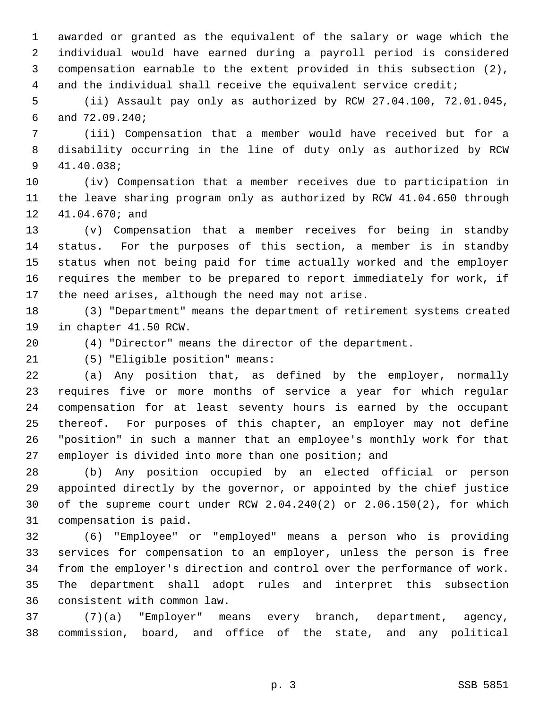1 awarded or granted as the equivalent of the salary or wage which the 2 individual would have earned during a payroll period is considered 3 compensation earnable to the extent provided in this subsection (2), 4 and the individual shall receive the equivalent service credit;

 5 (ii) Assault pay only as authorized by RCW 27.04.100, 72.01.045, 6 and 72.09.240;

 7 (iii) Compensation that a member would have received but for a 8 disability occurring in the line of duty only as authorized by RCW 9 41.40.038;

10 (iv) Compensation that a member receives due to participation in 11 the leave sharing program only as authorized by RCW 41.04.650 through 12 41.04.670; and

13 (v) Compensation that a member receives for being in standby 14 status. For the purposes of this section, a member is in standby 15 status when not being paid for time actually worked and the employer 16 requires the member to be prepared to report immediately for work, if 17 the need arises, although the need may not arise.

18 (3) "Department" means the department of retirement systems created 19 in chapter 41.50 RCW.

20 (4) "Director" means the director of the department.

21 (5) "Eligible position" means:

22 (a) Any position that, as defined by the employer, normally 23 requires five or more months of service a year for which regular 24 compensation for at least seventy hours is earned by the occupant 25 thereof. For purposes of this chapter, an employer may not define 26 "position" in such a manner that an employee's monthly work for that 27 employer is divided into more than one position; and

28 (b) Any position occupied by an elected official or person 29 appointed directly by the governor, or appointed by the chief justice 30 of the supreme court under RCW 2.04.240(2) or 2.06.150(2), for which 31 compensation is paid.

32 (6) "Employee" or "employed" means a person who is providing 33 services for compensation to an employer, unless the person is free 34 from the employer's direction and control over the performance of work. 35 The department shall adopt rules and interpret this subsection 36 consistent with common law.

37 (7)(a) "Employer" means every branch, department, agency, 38 commission, board, and office of the state, and any political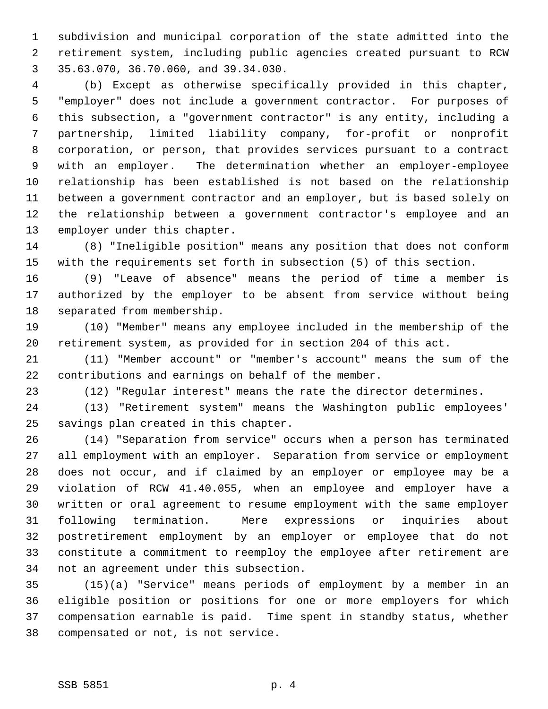1 subdivision and municipal corporation of the state admitted into the 2 retirement system, including public agencies created pursuant to RCW 3 35.63.070, 36.70.060, and 39.34.030.

 4 (b) Except as otherwise specifically provided in this chapter, 5 "employer" does not include a government contractor. For purposes of 6 this subsection, a "government contractor" is any entity, including a 7 partnership, limited liability company, for-profit or nonprofit 8 corporation, or person, that provides services pursuant to a contract 9 with an employer. The determination whether an employer-employee 10 relationship has been established is not based on the relationship 11 between a government contractor and an employer, but is based solely on 12 the relationship between a government contractor's employee and an 13 employer under this chapter.

14 (8) "Ineligible position" means any position that does not conform 15 with the requirements set forth in subsection (5) of this section.

16 (9) "Leave of absence" means the period of time a member is 17 authorized by the employer to be absent from service without being 18 separated from membership.

19 (10) "Member" means any employee included in the membership of the 20 retirement system, as provided for in section 204 of this act.

21 (11) "Member account" or "member's account" means the sum of the 22 contributions and earnings on behalf of the member.

23 (12) "Regular interest" means the rate the director determines.

24 (13) "Retirement system" means the Washington public employees' 25 savings plan created in this chapter.

26 (14) "Separation from service" occurs when a person has terminated 27 all employment with an employer. Separation from service or employment 28 does not occur, and if claimed by an employer or employee may be a 29 violation of RCW 41.40.055, when an employee and employer have a 30 written or oral agreement to resume employment with the same employer 31 following termination. Mere expressions or inquiries about 32 postretirement employment by an employer or employee that do not 33 constitute a commitment to reemploy the employee after retirement are 34 not an agreement under this subsection.

35 (15)(a) "Service" means periods of employment by a member in an 36 eligible position or positions for one or more employers for which 37 compensation earnable is paid. Time spent in standby status, whether 38 compensated or not, is not service.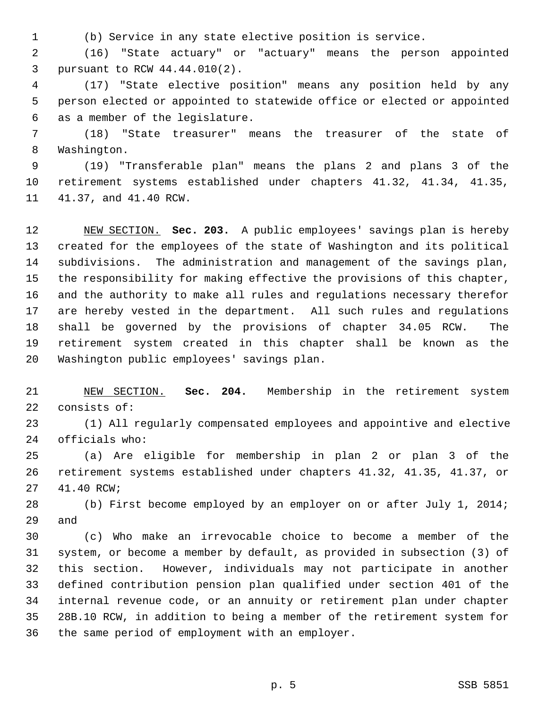1 (b) Service in any state elective position is service.

 2 (16) "State actuary" or "actuary" means the person appointed 3 pursuant to RCW 44.44.010(2).

 4 (17) "State elective position" means any position held by any 5 person elected or appointed to statewide office or elected or appointed 6 as a member of the legislature.

 7 (18) "State treasurer" means the treasurer of the state of 8 Washington.

 9 (19) "Transferable plan" means the plans 2 and plans 3 of the 10 retirement systems established under chapters 41.32, 41.34, 41.35, 11 41.37, and 41.40 RCW.

12 NEW SECTION. **Sec. 203.** A public employees' savings plan is hereby 13 created for the employees of the state of Washington and its political 14 subdivisions. The administration and management of the savings plan, 15 the responsibility for making effective the provisions of this chapter, 16 and the authority to make all rules and regulations necessary therefor 17 are hereby vested in the department. All such rules and regulations 18 shall be governed by the provisions of chapter 34.05 RCW. The 19 retirement system created in this chapter shall be known as the 20 Washington public employees' savings plan.

21 NEW SECTION. **Sec. 204.** Membership in the retirement system 22 consists of:

23 (1) All regularly compensated employees and appointive and elective 24 officials who:

25 (a) Are eligible for membership in plan 2 or plan 3 of the 26 retirement systems established under chapters 41.32, 41.35, 41.37, or 27 41.40 RCW;

28 (b) First become employed by an employer on or after July 1, 2014; 29 and

30 (c) Who make an irrevocable choice to become a member of the 31 system, or become a member by default, as provided in subsection (3) of 32 this section. However, individuals may not participate in another 33 defined contribution pension plan qualified under section 401 of the 34 internal revenue code, or an annuity or retirement plan under chapter 35 28B.10 RCW, in addition to being a member of the retirement system for 36 the same period of employment with an employer.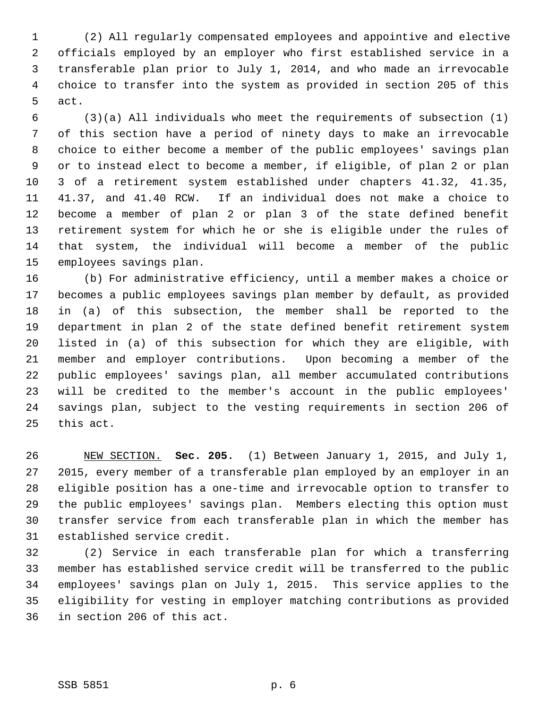1 (2) All regularly compensated employees and appointive and elective 2 officials employed by an employer who first established service in a 3 transferable plan prior to July 1, 2014, and who made an irrevocable 4 choice to transfer into the system as provided in section 205 of this 5 act.

 6 (3)(a) All individuals who meet the requirements of subsection (1) 7 of this section have a period of ninety days to make an irrevocable 8 choice to either become a member of the public employees' savings plan 9 or to instead elect to become a member, if eligible, of plan 2 or plan 10 3 of a retirement system established under chapters 41.32, 41.35, 11 41.37, and 41.40 RCW. If an individual does not make a choice to 12 become a member of plan 2 or plan 3 of the state defined benefit 13 retirement system for which he or she is eligible under the rules of 14 that system, the individual will become a member of the public 15 employees savings plan.

16 (b) For administrative efficiency, until a member makes a choice or 17 becomes a public employees savings plan member by default, as provided 18 in (a) of this subsection, the member shall be reported to the 19 department in plan 2 of the state defined benefit retirement system 20 listed in (a) of this subsection for which they are eligible, with 21 member and employer contributions. Upon becoming a member of the 22 public employees' savings plan, all member accumulated contributions 23 will be credited to the member's account in the public employees' 24 savings plan, subject to the vesting requirements in section 206 of 25 this act.

26 NEW SECTION. **Sec. 205.** (1) Between January 1, 2015, and July 1, 27 2015, every member of a transferable plan employed by an employer in an 28 eligible position has a one-time and irrevocable option to transfer to 29 the public employees' savings plan. Members electing this option must 30 transfer service from each transferable plan in which the member has 31 established service credit.

32 (2) Service in each transferable plan for which a transferring 33 member has established service credit will be transferred to the public 34 employees' savings plan on July 1, 2015. This service applies to the 35 eligibility for vesting in employer matching contributions as provided 36 in section 206 of this act.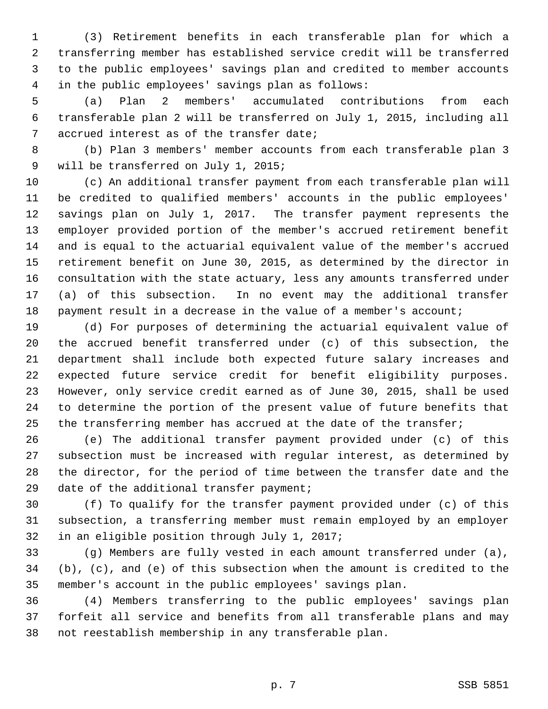1 (3) Retirement benefits in each transferable plan for which a 2 transferring member has established service credit will be transferred 3 to the public employees' savings plan and credited to member accounts 4 in the public employees' savings plan as follows:

 5 (a) Plan 2 members' accumulated contributions from each 6 transferable plan 2 will be transferred on July 1, 2015, including all 7 accrued interest as of the transfer date;

 8 (b) Plan 3 members' member accounts from each transferable plan 3 9 will be transferred on July 1, 2015;

10 (c) An additional transfer payment from each transferable plan will 11 be credited to qualified members' accounts in the public employees' 12 savings plan on July 1, 2017. The transfer payment represents the 13 employer provided portion of the member's accrued retirement benefit 14 and is equal to the actuarial equivalent value of the member's accrued 15 retirement benefit on June 30, 2015, as determined by the director in 16 consultation with the state actuary, less any amounts transferred under 17 (a) of this subsection. In no event may the additional transfer 18 payment result in a decrease in the value of a member's account;

19 (d) For purposes of determining the actuarial equivalent value of 20 the accrued benefit transferred under (c) of this subsection, the 21 department shall include both expected future salary increases and 22 expected future service credit for benefit eligibility purposes. 23 However, only service credit earned as of June 30, 2015, shall be used 24 to determine the portion of the present value of future benefits that 25 the transferring member has accrued at the date of the transfer;

26 (e) The additional transfer payment provided under (c) of this 27 subsection must be increased with regular interest, as determined by 28 the director, for the period of time between the transfer date and the 29 date of the additional transfer payment;

30 (f) To qualify for the transfer payment provided under (c) of this 31 subsection, a transferring member must remain employed by an employer 32 in an eligible position through July 1, 2017;

33 (g) Members are fully vested in each amount transferred under (a), 34 (b), (c), and (e) of this subsection when the amount is credited to the 35 member's account in the public employees' savings plan.

36 (4) Members transferring to the public employees' savings plan 37 forfeit all service and benefits from all transferable plans and may 38 not reestablish membership in any transferable plan.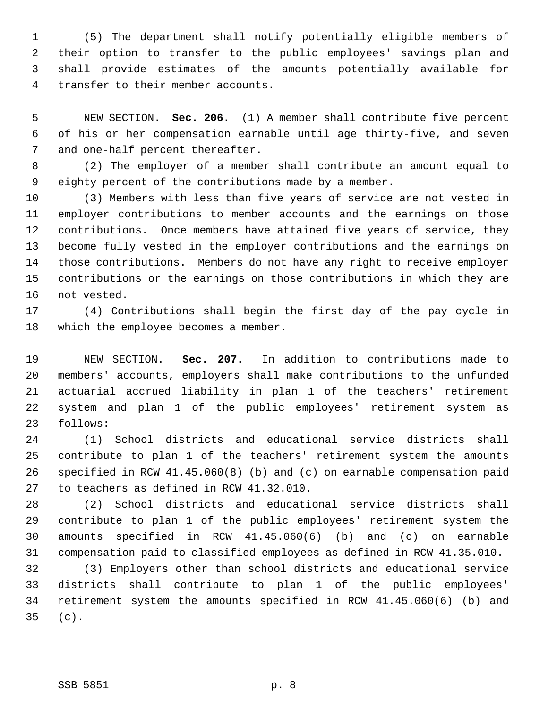1 (5) The department shall notify potentially eligible members of 2 their option to transfer to the public employees' savings plan and 3 shall provide estimates of the amounts potentially available for 4 transfer to their member accounts.

 5 NEW SECTION. **Sec. 206.** (1) A member shall contribute five percent 6 of his or her compensation earnable until age thirty-five, and seven 7 and one-half percent thereafter.

 8 (2) The employer of a member shall contribute an amount equal to 9 eighty percent of the contributions made by a member.

10 (3) Members with less than five years of service are not vested in 11 employer contributions to member accounts and the earnings on those 12 contributions. Once members have attained five years of service, they 13 become fully vested in the employer contributions and the earnings on 14 those contributions. Members do not have any right to receive employer 15 contributions or the earnings on those contributions in which they are 16 not vested.

17 (4) Contributions shall begin the first day of the pay cycle in 18 which the employee becomes a member.

19 NEW SECTION. **Sec. 207.** In addition to contributions made to 20 members' accounts, employers shall make contributions to the unfunded 21 actuarial accrued liability in plan 1 of the teachers' retirement 22 system and plan 1 of the public employees' retirement system as 23 follows:

24 (1) School districts and educational service districts shall 25 contribute to plan 1 of the teachers' retirement system the amounts 26 specified in RCW 41.45.060(8) (b) and (c) on earnable compensation paid 27 to teachers as defined in RCW 41.32.010.

28 (2) School districts and educational service districts shall 29 contribute to plan 1 of the public employees' retirement system the 30 amounts specified in RCW 41.45.060(6) (b) and (c) on earnable 31 compensation paid to classified employees as defined in RCW 41.35.010.

32 (3) Employers other than school districts and educational service 33 districts shall contribute to plan 1 of the public employees' 34 retirement system the amounts specified in RCW 41.45.060(6) (b) and 35 (c).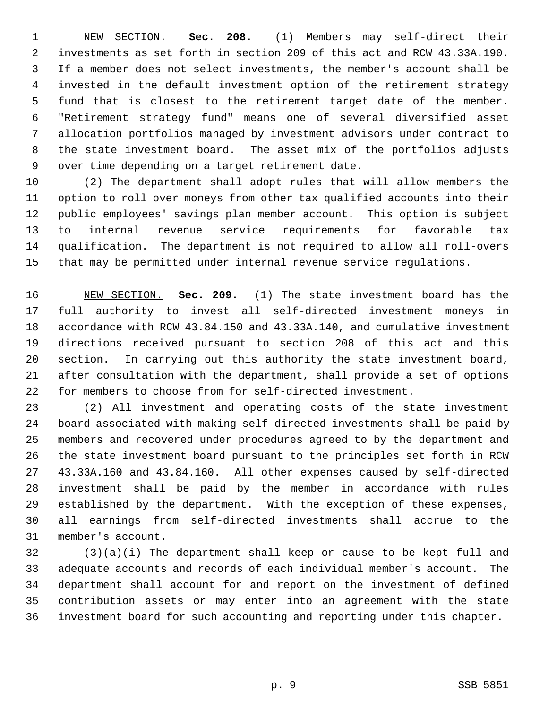1 NEW SECTION. **Sec. 208.** (1) Members may self-direct their 2 investments as set forth in section 209 of this act and RCW 43.33A.190. 3 If a member does not select investments, the member's account shall be 4 invested in the default investment option of the retirement strategy 5 fund that is closest to the retirement target date of the member. 6 "Retirement strategy fund" means one of several diversified asset 7 allocation portfolios managed by investment advisors under contract to 8 the state investment board. The asset mix of the portfolios adjusts 9 over time depending on a target retirement date.

10 (2) The department shall adopt rules that will allow members the 11 option to roll over moneys from other tax qualified accounts into their 12 public employees' savings plan member account. This option is subject 13 to internal revenue service requirements for favorable tax 14 qualification. The department is not required to allow all roll-overs 15 that may be permitted under internal revenue service regulations.

16 NEW SECTION. **Sec. 209.** (1) The state investment board has the 17 full authority to invest all self-directed investment moneys in 18 accordance with RCW 43.84.150 and 43.33A.140, and cumulative investment 19 directions received pursuant to section 208 of this act and this 20 section. In carrying out this authority the state investment board, 21 after consultation with the department, shall provide a set of options 22 for members to choose from for self-directed investment.

23 (2) All investment and operating costs of the state investment 24 board associated with making self-directed investments shall be paid by 25 members and recovered under procedures agreed to by the department and 26 the state investment board pursuant to the principles set forth in RCW 27 43.33A.160 and 43.84.160. All other expenses caused by self-directed 28 investment shall be paid by the member in accordance with rules 29 established by the department. With the exception of these expenses, 30 all earnings from self-directed investments shall accrue to the 31 member's account.

32 (3)(a)(i) The department shall keep or cause to be kept full and 33 adequate accounts and records of each individual member's account. The 34 department shall account for and report on the investment of defined 35 contribution assets or may enter into an agreement with the state 36 investment board for such accounting and reporting under this chapter.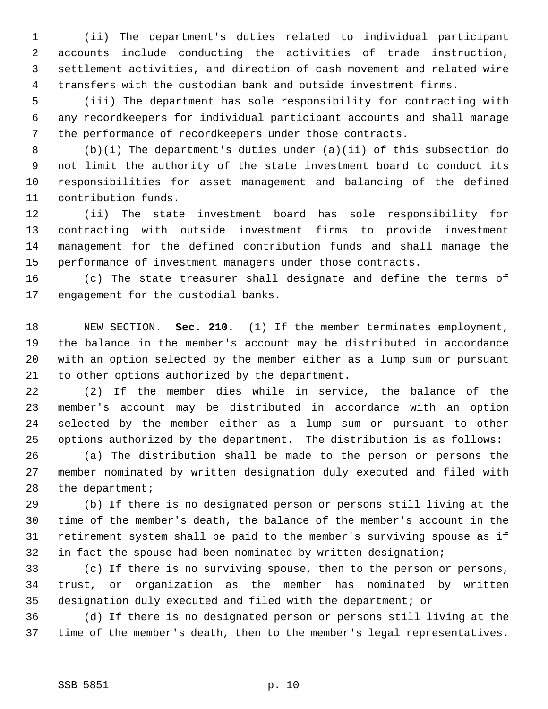1 (ii) The department's duties related to individual participant 2 accounts include conducting the activities of trade instruction, 3 settlement activities, and direction of cash movement and related wire 4 transfers with the custodian bank and outside investment firms.

 5 (iii) The department has sole responsibility for contracting with 6 any recordkeepers for individual participant accounts and shall manage 7 the performance of recordkeepers under those contracts.

 8 (b)(i) The department's duties under (a)(ii) of this subsection do 9 not limit the authority of the state investment board to conduct its 10 responsibilities for asset management and balancing of the defined 11 contribution funds.

12 (ii) The state investment board has sole responsibility for 13 contracting with outside investment firms to provide investment 14 management for the defined contribution funds and shall manage the 15 performance of investment managers under those contracts.

16 (c) The state treasurer shall designate and define the terms of 17 engagement for the custodial banks.

18 NEW SECTION. **Sec. 210.** (1) If the member terminates employment, 19 the balance in the member's account may be distributed in accordance 20 with an option selected by the member either as a lump sum or pursuant 21 to other options authorized by the department.

22 (2) If the member dies while in service, the balance of the 23 member's account may be distributed in accordance with an option 24 selected by the member either as a lump sum or pursuant to other 25 options authorized by the department. The distribution is as follows:

26 (a) The distribution shall be made to the person or persons the 27 member nominated by written designation duly executed and filed with 28 the department;

29 (b) If there is no designated person or persons still living at the 30 time of the member's death, the balance of the member's account in the 31 retirement system shall be paid to the member's surviving spouse as if 32 in fact the spouse had been nominated by written designation;

33 (c) If there is no surviving spouse, then to the person or persons, 34 trust, or organization as the member has nominated by written 35 designation duly executed and filed with the department; or

36 (d) If there is no designated person or persons still living at the 37 time of the member's death, then to the member's legal representatives.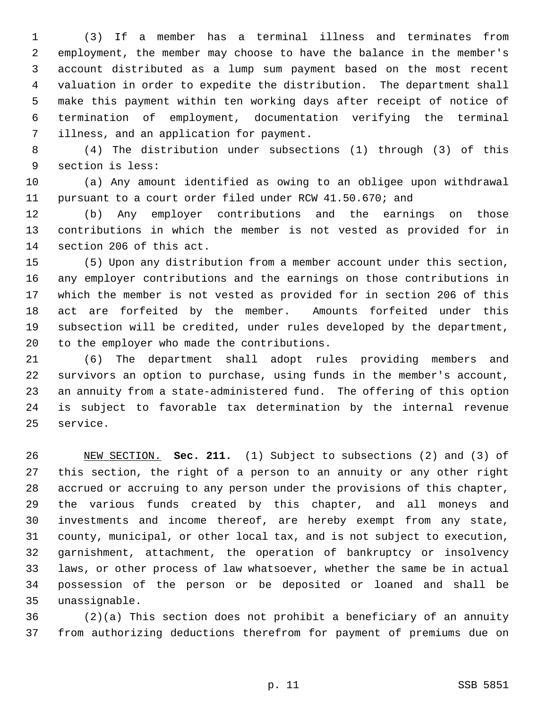1 (3) If a member has a terminal illness and terminates from 2 employment, the member may choose to have the balance in the member's 3 account distributed as a lump sum payment based on the most recent 4 valuation in order to expedite the distribution. The department shall 5 make this payment within ten working days after receipt of notice of 6 termination of employment, documentation verifying the terminal 7 illness, and an application for payment.

 8 (4) The distribution under subsections (1) through (3) of this 9 section is less:

10 (a) Any amount identified as owing to an obligee upon withdrawal 11 pursuant to a court order filed under RCW 41.50.670; and

12 (b) Any employer contributions and the earnings on those 13 contributions in which the member is not vested as provided for in 14 section 206 of this act.

15 (5) Upon any distribution from a member account under this section, 16 any employer contributions and the earnings on those contributions in 17 which the member is not vested as provided for in section 206 of this 18 act are forfeited by the member. Amounts forfeited under this 19 subsection will be credited, under rules developed by the department, 20 to the employer who made the contributions.

21 (6) The department shall adopt rules providing members and 22 survivors an option to purchase, using funds in the member's account, 23 an annuity from a state-administered fund. The offering of this option 24 is subject to favorable tax determination by the internal revenue 25 service.

26 NEW SECTION. **Sec. 211.** (1) Subject to subsections (2) and (3) of 27 this section, the right of a person to an annuity or any other right 28 accrued or accruing to any person under the provisions of this chapter, 29 the various funds created by this chapter, and all moneys and 30 investments and income thereof, are hereby exempt from any state, 31 county, municipal, or other local tax, and is not subject to execution, 32 garnishment, attachment, the operation of bankruptcy or insolvency 33 laws, or other process of law whatsoever, whether the same be in actual 34 possession of the person or be deposited or loaned and shall be 35 unassignable.

36 (2)(a) This section does not prohibit a beneficiary of an annuity 37 from authorizing deductions therefrom for payment of premiums due on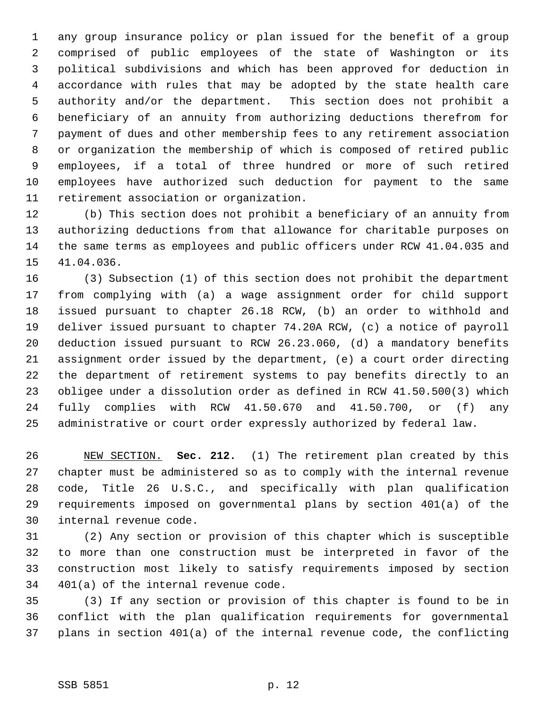1 any group insurance policy or plan issued for the benefit of a group 2 comprised of public employees of the state of Washington or its 3 political subdivisions and which has been approved for deduction in 4 accordance with rules that may be adopted by the state health care 5 authority and/or the department. This section does not prohibit a 6 beneficiary of an annuity from authorizing deductions therefrom for 7 payment of dues and other membership fees to any retirement association 8 or organization the membership of which is composed of retired public 9 employees, if a total of three hundred or more of such retired 10 employees have authorized such deduction for payment to the same 11 retirement association or organization.

12 (b) This section does not prohibit a beneficiary of an annuity from 13 authorizing deductions from that allowance for charitable purposes on 14 the same terms as employees and public officers under RCW 41.04.035 and 15 41.04.036.

16 (3) Subsection (1) of this section does not prohibit the department 17 from complying with (a) a wage assignment order for child support 18 issued pursuant to chapter 26.18 RCW, (b) an order to withhold and 19 deliver issued pursuant to chapter 74.20A RCW, (c) a notice of payroll 20 deduction issued pursuant to RCW 26.23.060, (d) a mandatory benefits 21 assignment order issued by the department, (e) a court order directing 22 the department of retirement systems to pay benefits directly to an 23 obligee under a dissolution order as defined in RCW 41.50.500(3) which 24 fully complies with RCW 41.50.670 and 41.50.700, or (f) any 25 administrative or court order expressly authorized by federal law.

26 NEW SECTION. **Sec. 212.** (1) The retirement plan created by this 27 chapter must be administered so as to comply with the internal revenue 28 code, Title 26 U.S.C., and specifically with plan qualification 29 requirements imposed on governmental plans by section 401(a) of the 30 internal revenue code.

31 (2) Any section or provision of this chapter which is susceptible 32 to more than one construction must be interpreted in favor of the 33 construction most likely to satisfy requirements imposed by section 34 401(a) of the internal revenue code.

35 (3) If any section or provision of this chapter is found to be in 36 conflict with the plan qualification requirements for governmental 37 plans in section 401(a) of the internal revenue code, the conflicting

#### SSB 5851 p. 12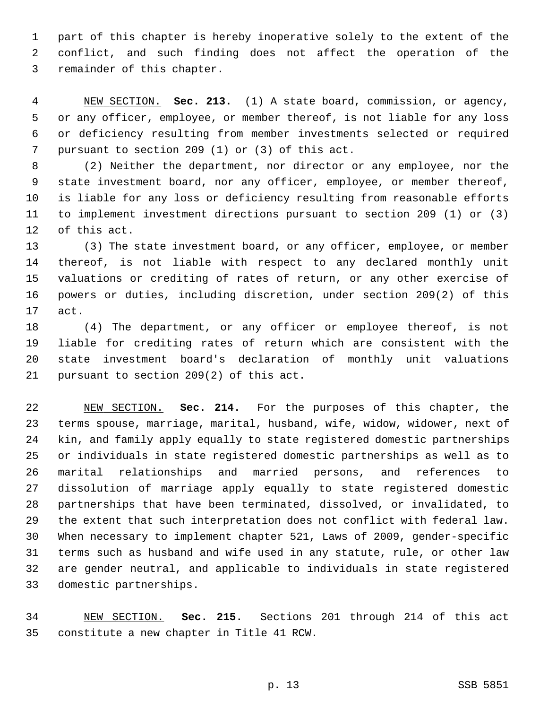1 part of this chapter is hereby inoperative solely to the extent of the 2 conflict, and such finding does not affect the operation of the 3 remainder of this chapter.

 4 NEW SECTION. **Sec. 213.** (1) A state board, commission, or agency, 5 or any officer, employee, or member thereof, is not liable for any loss 6 or deficiency resulting from member investments selected or required 7 pursuant to section 209 (1) or (3) of this act.

 8 (2) Neither the department, nor director or any employee, nor the 9 state investment board, nor any officer, employee, or member thereof, 10 is liable for any loss or deficiency resulting from reasonable efforts 11 to implement investment directions pursuant to section 209 (1) or (3) 12 of this act.

13 (3) The state investment board, or any officer, employee, or member 14 thereof, is not liable with respect to any declared monthly unit 15 valuations or crediting of rates of return, or any other exercise of 16 powers or duties, including discretion, under section 209(2) of this 17 act.

18 (4) The department, or any officer or employee thereof, is not 19 liable for crediting rates of return which are consistent with the 20 state investment board's declaration of monthly unit valuations 21 pursuant to section 209(2) of this act.

22 NEW SECTION. **Sec. 214.** For the purposes of this chapter, the 23 terms spouse, marriage, marital, husband, wife, widow, widower, next of 24 kin, and family apply equally to state registered domestic partnerships 25 or individuals in state registered domestic partnerships as well as to 26 marital relationships and married persons, and references to 27 dissolution of marriage apply equally to state registered domestic 28 partnerships that have been terminated, dissolved, or invalidated, to 29 the extent that such interpretation does not conflict with federal law. 30 When necessary to implement chapter 521, Laws of 2009, gender-specific 31 terms such as husband and wife used in any statute, rule, or other law 32 are gender neutral, and applicable to individuals in state registered 33 domestic partnerships.

34 NEW SECTION. **Sec. 215.** Sections 201 through 214 of this act 35 constitute a new chapter in Title 41 RCW.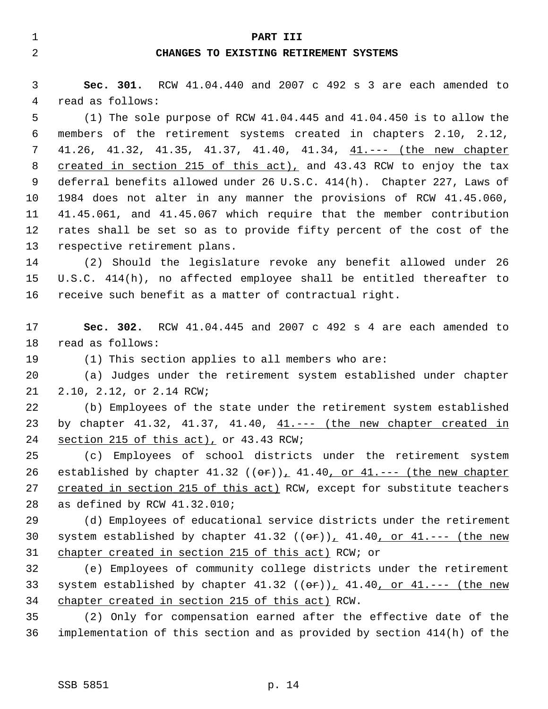#### 1 **PART III**

## 2 **CHANGES TO EXISTING RETIREMENT SYSTEMS**

 3 **Sec. 301.** RCW 41.04.440 and 2007 c 492 s 3 are each amended to 4 read as follows:

 5 (1) The sole purpose of RCW 41.04.445 and 41.04.450 is to allow the 6 members of the retirement systems created in chapters 2.10, 2.12, 7 41.26, 41.32, 41.35, 41.37, 41.40, 41.34, 41.--- (the new chapter 8 created in section 215 of this act), and 43.43 RCW to enjoy the tax 9 deferral benefits allowed under 26 U.S.C. 414(h). Chapter 227, Laws of 10 1984 does not alter in any manner the provisions of RCW 41.45.060, 11 41.45.061, and 41.45.067 which require that the member contribution 12 rates shall be set so as to provide fifty percent of the cost of the 13 respective retirement plans.

14 (2) Should the legislature revoke any benefit allowed under 26 15 U.S.C. 414(h), no affected employee shall be entitled thereafter to 16 receive such benefit as a matter of contractual right.

17 **Sec. 302.** RCW 41.04.445 and 2007 c 492 s 4 are each amended to 18 read as follows:

19 (1) This section applies to all members who are:

20 (a) Judges under the retirement system established under chapter 21 2.10, 2.12, or 2.14 RCW;

22 (b) Employees of the state under the retirement system established 23 by chapter 41.32, 41.37, 41.40, 41.--- (the new chapter created in 24 section 215 of this act), or 43.43 RCW;

25 (c) Employees of school districts under the retirement system 26 established by chapter  $41.32$  (( $\sigma$ r))<sub> $\mu$ </sub>  $41.40$ , or  $41$ .--- (the new chapter 27 created in section 215 of this act) RCW, except for substitute teachers 28 as defined by RCW 41.32.010;

29 (d) Employees of educational service districts under the retirement 30 system established by chapter  $41.32$  (( $\sigma$ r)),  $41.40$ , or  $41.--$  (the new 31 chapter created in section 215 of this act) RCW; or

32 (e) Employees of community college districts under the retirement 33 system established by chapter  $41.32$  (( $e^{2}$ ))<sub>1</sub>  $41.40$ , or  $41.--$  (the new 34 chapter created in section 215 of this act) RCW.

35 (2) Only for compensation earned after the effective date of the 36 implementation of this section and as provided by section 414(h) of the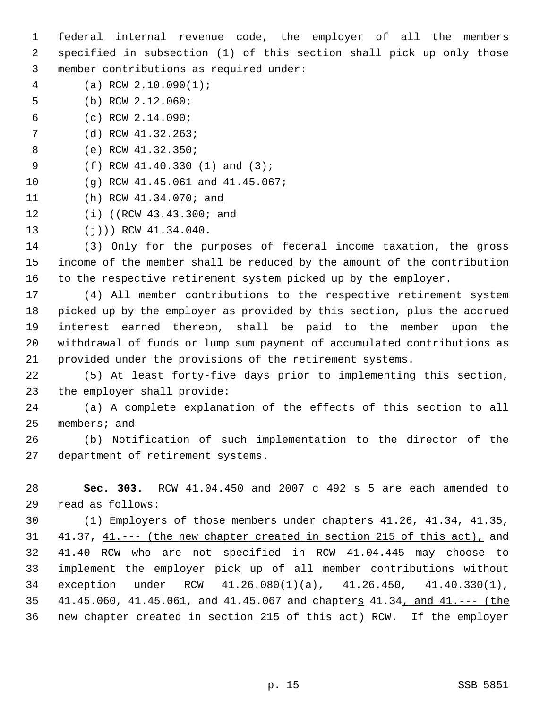1 federal internal revenue code, the employer of all the members 2 specified in subsection (1) of this section shall pick up only those 3 member contributions as required under:

- 4 (a) RCW 2.10.090(1);
- 5 (b) RCW 2.12.060;
- 6 (c) RCW 2.14.090;
- 7 (d) RCW 41.32.263;
- 8 (e) RCW 41.32.350;
- 9 (f) RCW 41.40.330 (1) and (3);
- 10 (g) RCW 41.45.061 and 41.45.067;
- 11 (h) RCW 41.34.070; and
- 12 (i) ((RCW 43.43.300; and
- 13  $\leftarrow$   $\leftarrow$   $\leftarrow$   $\leftarrow$  RCW 41.34.040.

14 (3) Only for the purposes of federal income taxation, the gross 15 income of the member shall be reduced by the amount of the contribution 16 to the respective retirement system picked up by the employer.

17 (4) All member contributions to the respective retirement system 18 picked up by the employer as provided by this section, plus the accrued 19 interest earned thereon, shall be paid to the member upon the 20 withdrawal of funds or lump sum payment of accumulated contributions as 21 provided under the provisions of the retirement systems.

22 (5) At least forty-five days prior to implementing this section, 23 the employer shall provide:

24 (a) A complete explanation of the effects of this section to all 25 members; and

26 (b) Notification of such implementation to the director of the 27 department of retirement systems.

28 **Sec. 303.** RCW 41.04.450 and 2007 c 492 s 5 are each amended to 29 read as follows:

30 (1) Employers of those members under chapters 41.26, 41.34, 41.35, 31 41.37, 41.--- (the new chapter created in section 215 of this act), and 32 41.40 RCW who are not specified in RCW 41.04.445 may choose to 33 implement the employer pick up of all member contributions without 34 exception under RCW 41.26.080(1)(a), 41.26.450, 41.40.330(1), 35 41.45.060, 41.45.061, and 41.45.067 and chapters 41.34, and 41.--- (the 36 new chapter created in section 215 of this act) RCW. If the employer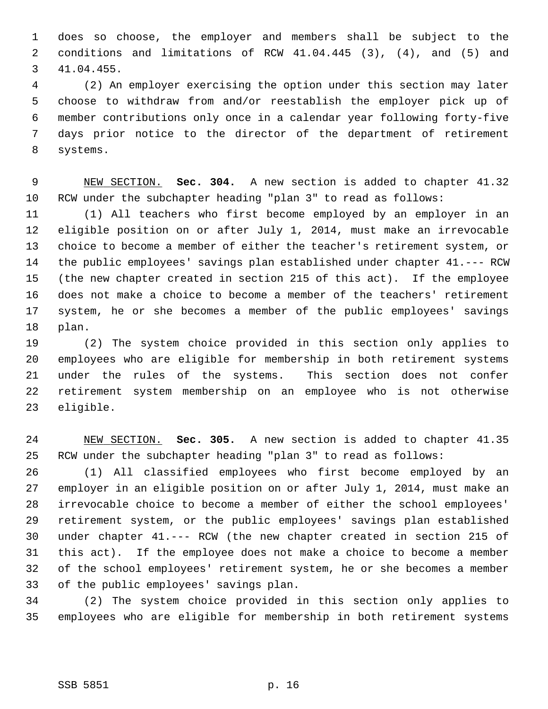1 does so choose, the employer and members shall be subject to the 2 conditions and limitations of RCW 41.04.445 (3), (4), and (5) and 3 41.04.455.

 4 (2) An employer exercising the option under this section may later 5 choose to withdraw from and/or reestablish the employer pick up of 6 member contributions only once in a calendar year following forty-five 7 days prior notice to the director of the department of retirement 8 systems.

 9 NEW SECTION. **Sec. 304.** A new section is added to chapter 41.32 10 RCW under the subchapter heading "plan 3" to read as follows:

11 (1) All teachers who first become employed by an employer in an 12 eligible position on or after July 1, 2014, must make an irrevocable 13 choice to become a member of either the teacher's retirement system, or 14 the public employees' savings plan established under chapter 41.--- RCW 15 (the new chapter created in section 215 of this act). If the employee 16 does not make a choice to become a member of the teachers' retirement 17 system, he or she becomes a member of the public employees' savings 18 plan.

19 (2) The system choice provided in this section only applies to 20 employees who are eligible for membership in both retirement systems 21 under the rules of the systems. This section does not confer 22 retirement system membership on an employee who is not otherwise 23 eligible.

24 NEW SECTION. **Sec. 305.** A new section is added to chapter 41.35 25 RCW under the subchapter heading "plan 3" to read as follows:

26 (1) All classified employees who first become employed by an 27 employer in an eligible position on or after July 1, 2014, must make an 28 irrevocable choice to become a member of either the school employees' 29 retirement system, or the public employees' savings plan established 30 under chapter 41.--- RCW (the new chapter created in section 215 of 31 this act). If the employee does not make a choice to become a member 32 of the school employees' retirement system, he or she becomes a member 33 of the public employees' savings plan.

34 (2) The system choice provided in this section only applies to 35 employees who are eligible for membership in both retirement systems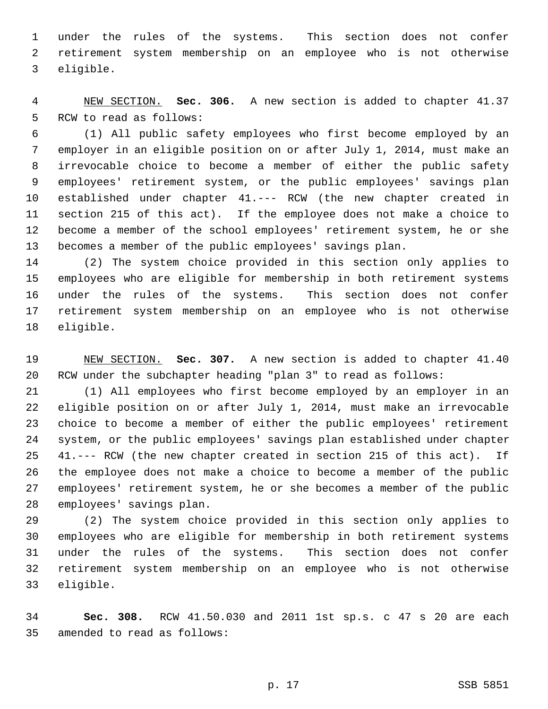1 under the rules of the systems. This section does not confer 2 retirement system membership on an employee who is not otherwise 3 eligible.

 4 NEW SECTION. **Sec. 306.** A new section is added to chapter 41.37 5 RCW to read as follows:

 6 (1) All public safety employees who first become employed by an 7 employer in an eligible position on or after July 1, 2014, must make an 8 irrevocable choice to become a member of either the public safety 9 employees' retirement system, or the public employees' savings plan 10 established under chapter 41.--- RCW (the new chapter created in 11 section 215 of this act). If the employee does not make a choice to 12 become a member of the school employees' retirement system, he or she 13 becomes a member of the public employees' savings plan.

14 (2) The system choice provided in this section only applies to 15 employees who are eligible for membership in both retirement systems 16 under the rules of the systems. This section does not confer 17 retirement system membership on an employee who is not otherwise 18 eligible.

19 NEW SECTION. **Sec. 307.** A new section is added to chapter 41.40 20 RCW under the subchapter heading "plan 3" to read as follows:

21 (1) All employees who first become employed by an employer in an 22 eligible position on or after July 1, 2014, must make an irrevocable 23 choice to become a member of either the public employees' retirement 24 system, or the public employees' savings plan established under chapter 25 41.--- RCW (the new chapter created in section 215 of this act). If 26 the employee does not make a choice to become a member of the public 27 employees' retirement system, he or she becomes a member of the public 28 employees' savings plan.

29 (2) The system choice provided in this section only applies to 30 employees who are eligible for membership in both retirement systems 31 under the rules of the systems. This section does not confer 32 retirement system membership on an employee who is not otherwise 33 eligible.

34 **Sec. 308.** RCW 41.50.030 and 2011 1st sp.s. c 47 s 20 are each 35 amended to read as follows: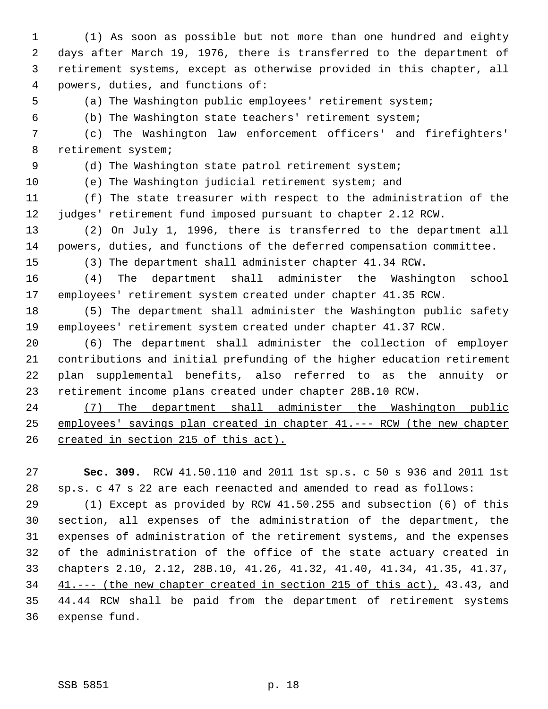1 (1) As soon as possible but not more than one hundred and eighty 2 days after March 19, 1976, there is transferred to the department of 3 retirement systems, except as otherwise provided in this chapter, all 4 powers, duties, and functions of:

5 (a) The Washington public employees' retirement system;

6 (b) The Washington state teachers' retirement system;

 7 (c) The Washington law enforcement officers' and firefighters' 8 retirement system;

9 (d) The Washington state patrol retirement system;

10 (e) The Washington judicial retirement system; and

11 (f) The state treasurer with respect to the administration of the 12 judges' retirement fund imposed pursuant to chapter 2.12 RCW.

13 (2) On July 1, 1996, there is transferred to the department all 14 powers, duties, and functions of the deferred compensation committee.

15 (3) The department shall administer chapter 41.34 RCW.

16 (4) The department shall administer the Washington school 17 employees' retirement system created under chapter 41.35 RCW.

18 (5) The department shall administer the Washington public safety 19 employees' retirement system created under chapter 41.37 RCW.

20 (6) The department shall administer the collection of employer 21 contributions and initial prefunding of the higher education retirement 22 plan supplemental benefits, also referred to as the annuity or 23 retirement income plans created under chapter 28B.10 RCW.

24 (7) The department shall administer the Washington public 25 employees' savings plan created in chapter 41.--- RCW (the new chapter 26 created in section 215 of this act).

27 **Sec. 309.** RCW 41.50.110 and 2011 1st sp.s. c 50 s 936 and 2011 1st 28 sp.s. c 47 s 22 are each reenacted and amended to read as follows:

29 (1) Except as provided by RCW 41.50.255 and subsection (6) of this 30 section, all expenses of the administration of the department, the 31 expenses of administration of the retirement systems, and the expenses 32 of the administration of the office of the state actuary created in 33 chapters 2.10, 2.12, 28B.10, 41.26, 41.32, 41.40, 41.34, 41.35, 41.37, 34 41.--- (the new chapter created in section 215 of this act), 43.43, and 35 44.44 RCW shall be paid from the department of retirement systems 36 expense fund.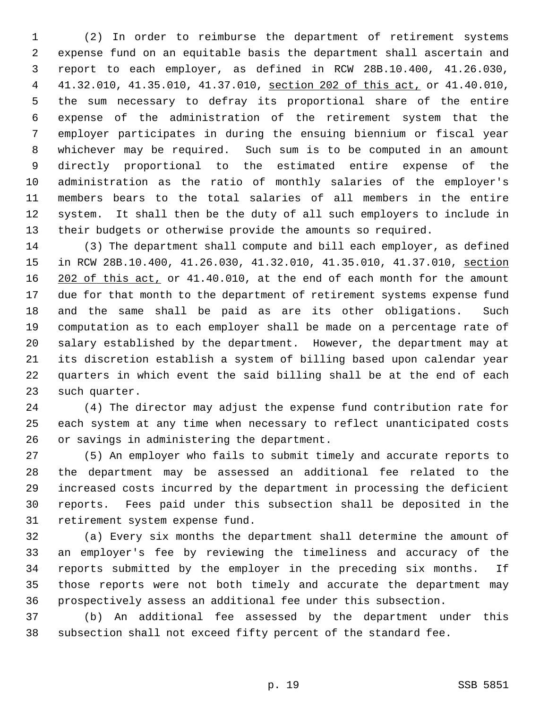1 (2) In order to reimburse the department of retirement systems 2 expense fund on an equitable basis the department shall ascertain and 3 report to each employer, as defined in RCW 28B.10.400, 41.26.030, 4 41.32.010, 41.35.010, 41.37.010, section 202 of this act, or 41.40.010, 5 the sum necessary to defray its proportional share of the entire 6 expense of the administration of the retirement system that the 7 employer participates in during the ensuing biennium or fiscal year 8 whichever may be required. Such sum is to be computed in an amount 9 directly proportional to the estimated entire expense of the 10 administration as the ratio of monthly salaries of the employer's 11 members bears to the total salaries of all members in the entire 12 system. It shall then be the duty of all such employers to include in 13 their budgets or otherwise provide the amounts so required.

14 (3) The department shall compute and bill each employer, as defined 15 in RCW 28B.10.400, 41.26.030, 41.32.010, 41.35.010, 41.37.010, section 16 202 of this act, or 41.40.010, at the end of each month for the amount 17 due for that month to the department of retirement systems expense fund 18 and the same shall be paid as are its other obligations. Such 19 computation as to each employer shall be made on a percentage rate of 20 salary established by the department. However, the department may at 21 its discretion establish a system of billing based upon calendar year 22 quarters in which event the said billing shall be at the end of each 23 such quarter.

24 (4) The director may adjust the expense fund contribution rate for 25 each system at any time when necessary to reflect unanticipated costs 26 or savings in administering the department.

27 (5) An employer who fails to submit timely and accurate reports to 28 the department may be assessed an additional fee related to the 29 increased costs incurred by the department in processing the deficient 30 reports. Fees paid under this subsection shall be deposited in the 31 retirement system expense fund.

32 (a) Every six months the department shall determine the amount of 33 an employer's fee by reviewing the timeliness and accuracy of the 34 reports submitted by the employer in the preceding six months. If 35 those reports were not both timely and accurate the department may 36 prospectively assess an additional fee under this subsection.

37 (b) An additional fee assessed by the department under this 38 subsection shall not exceed fifty percent of the standard fee.